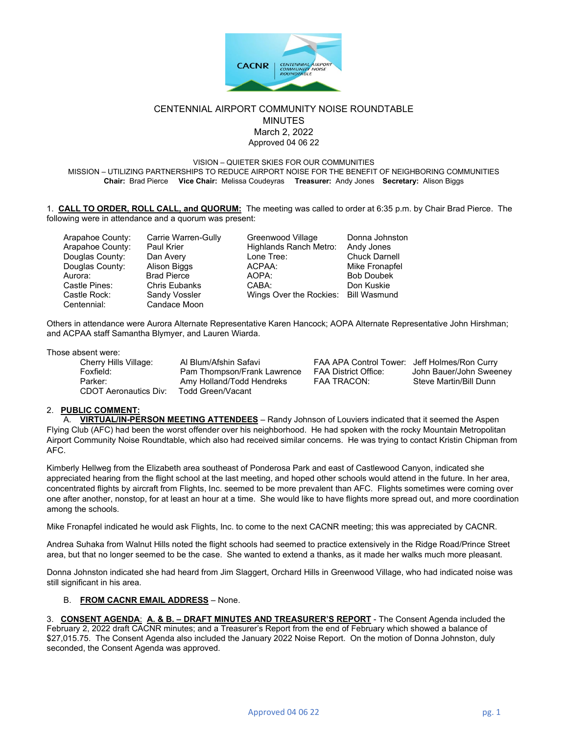

## CENTENNIAL AIRPORT COMMUNITY NOISE ROUNDTABLE MINUTES March 2, 2022 Approved 04 06 22

VISION – QUIETER SKIES FOR OUR COMMUNITIES

MISSION – UTILIZING PARTNERSHIPS TO REDUCE AIRPORT NOISE FOR THE BENEFIT OF NEIGHBORING COMMUNITIES **Chair:** Brad Pierce **Vice Chair:** Melissa Coudeyras **Treasurer:** Andy Jones **Secretary:** Alison Biggs

1. **CALL TO ORDER, ROLL CALL, and QUORUM:** The meeting was called to order at 6:35 p.m. by Chair Brad Pierce. The following were in attendance and a quorum was present:

| Arapahoe County: | Carrie Warren-Gully  | Greenwood Village                    | Donna Johnston       |
|------------------|----------------------|--------------------------------------|----------------------|
| Arapahoe County: | Paul Krier           | Highlands Ranch Metro:               | Andy Jones           |
| Douglas County:  | Dan Avery            | Lone Tree:                           | <b>Chuck Darnell</b> |
| Douglas County:  | Alison Biggs         | ACPAA:                               | Mike Fronapfel       |
| Aurora:          | <b>Brad Pierce</b>   | AOPA:                                | <b>Bob Doubek</b>    |
| Castle Pines:    | <b>Chris Eubanks</b> | CABA:                                | Don Kuskie           |
| Castle Rock:     | Sandy Vossler        | Wings Over the Rockies: Bill Wasmund |                      |
| Centennial:      | Candace Moon         |                                      |                      |
|                  |                      |                                      |                      |

Others in attendance were Aurora Alternate Representative Karen Hancock; AOPA Alternate Representative John Hirshman; and ACPAA staff Samantha Blymyer, and Lauren Wiarda.

Those absent were:

| Cherry Hills Village:        | Al Blum/Afshin Safavi       | FAA APA Control Tower: Jeff Holmes/Ron Curry |                         |  |
|------------------------------|-----------------------------|----------------------------------------------|-------------------------|--|
| Foxfield:                    | Pam Thompson/Frank Lawrence | FAA District Office:                         | John Bauer/John Sweeney |  |
| Parker:                      | Amy Holland/Todd Hendreks   | <b>FAA TRACON:</b>                           | Steve Martin/Bill Dunn  |  |
| <b>CDOT Aeronautics Div:</b> | Todd Green/Vacant           |                                              |                         |  |

### 2. **PUBLIC COMMENT:**

A. **VIRTUAL/IN-PERSON MEETING ATTENDEES** – Randy Johnson of Louviers indicated that it seemed the Aspen Flying Club (AFC) had been the worst offender over his neighborhood. He had spoken with the rocky Mountain Metropolitan Airport Community Noise Roundtable, which also had received similar concerns. He was trying to contact Kristin Chipman from AFC.

Kimberly Hellweg from the Elizabeth area southeast of Ponderosa Park and east of Castlewood Canyon, indicated she appreciated hearing from the flight school at the last meeting, and hoped other schools would attend in the future. In her area, concentrated flights by aircraft from Flights, Inc. seemed to be more prevalent than AFC. Flights sometimes were coming over one after another, nonstop, for at least an hour at a time. She would like to have flights more spread out, and more coordination among the schools.

Mike Fronapfel indicated he would ask Flights, Inc. to come to the next CACNR meeting; this was appreciated by CACNR.

Andrea Suhaka from Walnut Hills noted the flight schools had seemed to practice extensively in the Ridge Road/Prince Street area, but that no longer seemed to be the case. She wanted to extend a thanks, as it made her walks much more pleasant.

Donna Johnston indicated she had heard from Jim Slaggert, Orchard Hills in Greenwood Village, who had indicated noise was still significant in his area.

#### B. **FROM CACNR EMAIL ADDRESS** – None.

3. **CONSENT AGENDA**: **A. & B. – DRAFT MINUTES AND TREASURER'S REPORT** - The Consent Agenda included the February 2, 2022 draft CACNR minutes; and a Treasurer's Report from the end of February which showed a balance of \$27,015.75. The Consent Agenda also included the January 2022 Noise Report. On the motion of Donna Johnston, duly seconded, the Consent Agenda was approved.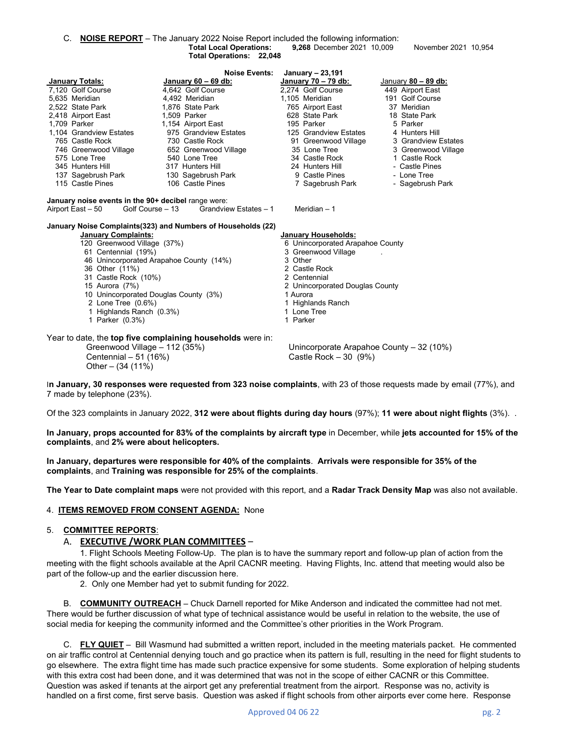C. **NOISE REPORT** – The January 2022 Noise Report included the following information: **9,268** December 2021 10,009 November 2021 10,954 **Total Operations: 22,048** 

|                                                                                                                                     | <b>Noise Events:</b>                                          | January - 23,191                         |                       |  |  |  |  |
|-------------------------------------------------------------------------------------------------------------------------------------|---------------------------------------------------------------|------------------------------------------|-----------------------|--|--|--|--|
| <b>January Totals:</b>                                                                                                              | January $60 - 69$ db:                                         | January 70 - 79 db:                      | January $80 - 89$ db: |  |  |  |  |
| 7,120 Golf Course                                                                                                                   | 4,642 Golf Course                                             | 2,274 Golf Course                        | 449 Airport East      |  |  |  |  |
| 5,635 Meridian                                                                                                                      | 4,492 Meridian                                                | 1,105 Meridian                           | 191 Golf Course       |  |  |  |  |
| 2,522 State Park                                                                                                                    | 1,876 State Park                                              | 765 Airport East                         | 37 Meridian           |  |  |  |  |
| 2,418 Airport East                                                                                                                  | 1,509 Parker                                                  | 628 State Park                           | 18 State Park         |  |  |  |  |
| 1,709 Parker                                                                                                                        | 1,154 Airport East                                            | 195 Parker                               | 5 Parker              |  |  |  |  |
| 1,104 Grandview Estates                                                                                                             | 975 Grandview Estates                                         | 125 Grandview Estates                    | 4 Hunters Hill        |  |  |  |  |
| 765 Castle Rock                                                                                                                     | 730  Castle Rock                                              | 91 Greenwood Village                     | 3 Grandview Estates   |  |  |  |  |
|                                                                                                                                     | 746 Greenwood Village 652 Greenwood Village                   | 35 Lone Tree                             | 3 Greenwood Village   |  |  |  |  |
| 575 Lone Tree                                                                                                                       | 540 Lone Tree                                                 | 34 Castle Rock <b>Secure 19</b>          | 1 Castle Rock         |  |  |  |  |
| 345 Hunters Hill                                                                                                                    | 317 Hunters Hill                                              | 24 Hunters Hill                          | - Castle Pines        |  |  |  |  |
| 137 Sagebrush Park                                                                                                                  | 130 Sagebrush Park                                            | 9 Castle Pines                           | - Lone Tree           |  |  |  |  |
| 115 Castle Pines                                                                                                                    | 106 Castle Pines                                              | 7 Sagebrush Park                         | - Sagebrush Park      |  |  |  |  |
| January noise events in the 90+ decibel range were:<br>Golf Course – 13 Grandview Estates – 1<br>Meridian $-1$<br>Airport East – 50 |                                                               |                                          |                       |  |  |  |  |
|                                                                                                                                     | January Noise Complaints (323) and Numbers of Households (22) |                                          |                       |  |  |  |  |
| <b>January Complaints:</b>                                                                                                          |                                                               | <b>January Households:</b>               |                       |  |  |  |  |
| 120 Greenwood Village (37%)                                                                                                         |                                                               | 6 Unincorporated Arapahoe County         |                       |  |  |  |  |
| 61 Centennial (19%)                                                                                                                 |                                                               | 3 Greenwood Village                      |                       |  |  |  |  |
| 46 Unincorporated Arapahoe County (14%)                                                                                             |                                                               | 3 Other<br>2 Castle Rock                 |                       |  |  |  |  |
| 36 Other (11%)                                                                                                                      |                                                               | 2 Centennial                             |                       |  |  |  |  |
| 31 Castle Rock (10%)<br>15 Aurora (7%)                                                                                              |                                                               | 2 Unincorporated Douglas County          |                       |  |  |  |  |
| 10 Unincorporated Douglas County (3%)                                                                                               |                                                               | 1 Aurora                                 |                       |  |  |  |  |
| 2 Lone Tree (0.6%)                                                                                                                  |                                                               | 1 Highlands Ranch                        |                       |  |  |  |  |
| 1 Highlands Ranch (0.3%)                                                                                                            |                                                               | 1 Lone Tree                              |                       |  |  |  |  |
| 1 Parker (0.3%)                                                                                                                     |                                                               | 1 Parker                                 |                       |  |  |  |  |
|                                                                                                                                     |                                                               |                                          |                       |  |  |  |  |
| Year to date, the <b>top five complaining households</b> were in:                                                                   |                                                               |                                          |                       |  |  |  |  |
| Greenwood Village - 112 (35%)                                                                                                       |                                                               | Unincorporate Arapahoe County - 32 (10%) |                       |  |  |  |  |
| Centennial - 51 (16%)                                                                                                               |                                                               | Castle Rock $-30$ (9%)                   |                       |  |  |  |  |
|                                                                                                                                     |                                                               |                                          |                       |  |  |  |  |
| Other $-$ (34 (11%)                                                                                                                 |                                                               |                                          |                       |  |  |  |  |

I**n January, 30 responses were requested from 323 noise complaints**, with 23 of those requests made by email (77%), and 7 made by telephone (23%).

Of the 323 complaints in January 2022, **312 were about flights during day hours** (97%); **11 were about night flights** (3%). .

**In January, props accounted for 83% of the complaints by aircraft type** in December, while **jets accounted for 15% of the complaints**, and **2% were about helicopters.** 

**In January, departures were responsible for 40% of the complaints**. **Arrivals were responsible for 35% of the complaints**, and **Training was responsible for 25% of the complaints**.

**The Year to Date complaint maps** were not provided with this report, and a **Radar Track Density Map** was also not available.

#### 4. **ITEMS REMOVED FROM CONSENT AGENDA:** None

#### 5. **COMMITTEE REPORTS**:

#### A. **EXECUTIVE /WORK PLAN COMMITTEES** –

1. Flight Schools Meeting Follow-Up. The plan is to have the summary report and follow-up plan of action from the meeting with the flight schools available at the April CACNR meeting. Having Flights, Inc. attend that meeting would also be part of the follow-up and the earlier discussion here.

2. Only one Member had yet to submit funding for 2022.

B. **COMMUNITY OUTREACH** – Chuck Darnell reported for Mike Anderson and indicated the committee had not met. There would be further discussion of what type of technical assistance would be useful in relation to the website, the use of social media for keeping the community informed and the Committee's other priorities in the Work Program.

C. **FLY QUIET** – Bill Wasmund had submitted a written report, included in the meeting materials packet. He commented on air traffic control at Centennial denying touch and go practice when its pattern is full, resulting in the need for flight students to go elsewhere. The extra flight time has made such practice expensive for some students. Some exploration of helping students with this extra cost had been done, and it was determined that was not in the scope of either CACNR or this Committee. Question was asked if tenants at the airport get any preferential treatment from the airport. Response was no, activity is handled on a first come, first serve basis. Question was asked if flight schools from other airports ever come here. Response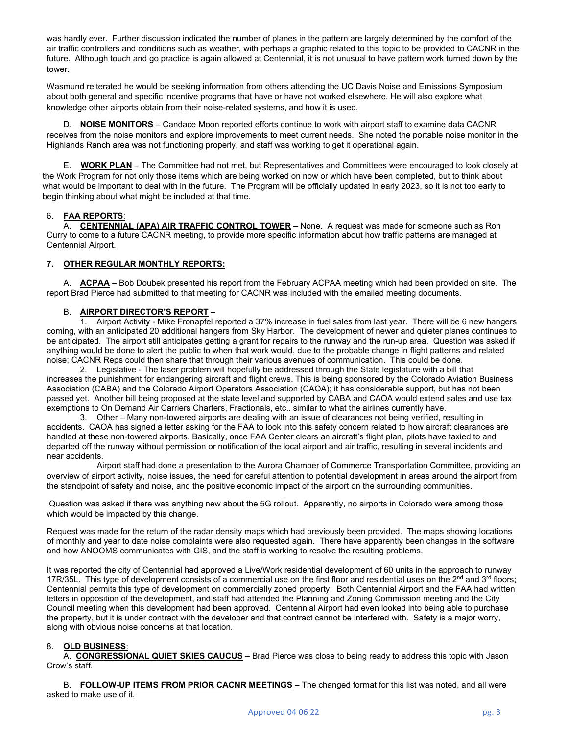was hardly ever. Further discussion indicated the number of planes in the pattern are largely determined by the comfort of the air traffic controllers and conditions such as weather, with perhaps a graphic related to this topic to be provided to CACNR in the future. Although touch and go practice is again allowed at Centennial, it is not unusual to have pattern work turned down by the tower.

Wasmund reiterated he would be seeking information from others attending the UC Davis Noise and Emissions Symposium about both general and specific incentive programs that have or have not worked elsewhere. He will also explore what knowledge other airports obtain from their noise-related systems, and how it is used.

D. **NOISE MONITORS** – Candace Moon reported efforts continue to work with airport staff to examine data CACNR receives from the noise monitors and explore improvements to meet current needs. She noted the portable noise monitor in the Highlands Ranch area was not functioning properly, and staff was working to get it operational again.

E. **WORK PLAN** – The Committee had not met, but Representatives and Committees were encouraged to look closely at the Work Program for not only those items which are being worked on now or which have been completed, but to think about what would be important to deal with in the future. The Program will be officially updated in early 2023, so it is not too early to begin thinking about what might be included at that time.

# 6. **FAA REPORTS**:

A. **CENTENNIAL (APA) AIR TRAFFIC CONTROL TOWER** – None. A request was made for someone such as Ron Curry to come to a future CACNR meeting, to provide more specific information about how traffic patterns are managed at Centennial Airport.

## **7. OTHER REGULAR MONTHLY REPORTS:**

A. **ACPAA** – Bob Doubek presented his report from the February ACPAA meeting which had been provided on site. The report Brad Pierce had submitted to that meeting for CACNR was included with the emailed meeting documents.

## B. **AIRPORT DIRECTOR'S REPORT** –

1. Airport Activity - Mike Fronapfel reported a 37% increase in fuel sales from last year. There will be 6 new hangers coming, with an anticipated 20 additional hangers from Sky Harbor. The development of newer and quieter planes continues to be anticipated. The airport still anticipates getting a grant for repairs to the runway and the run-up area. Question was asked if anything would be done to alert the public to when that work would, due to the probable change in flight patterns and related noise; CACNR Reps could then share that through their various avenues of communication. This could be done.

2. Legislative - The laser problem will hopefully be addressed through the State legislature with a bill that increases the punishment for endangering aircraft and flight crews. This is being sponsored by the Colorado Aviation Business Association (CABA) and the Colorado Airport Operators Association (CAOA); it has considerable support, but has not been passed yet. Another bill being proposed at the state level and supported by CABA and CAOA would extend sales and use tax exemptions to On Demand Air Carriers Charters, Fractionals, etc.. similar to what the airlines currently have.

3. Other – Many non-towered airports are dealing with an issue of clearances not being verified, resulting in accidents. CAOA has signed a letter asking for the FAA to look into this safety concern related to how aircraft clearances are handled at these non-towered airports. Basically, once FAA Center clears an aircraft's flight plan, pilots have taxied to and departed off the runway without permission or notification of the local airport and air traffic, resulting in several incidents and near accidents.

Airport staff had done a presentation to the Aurora Chamber of Commerce Transportation Committee, providing an overview of airport activity, noise issues, the need for careful attention to potential development in areas around the airport from the standpoint of safety and noise, and the positive economic impact of the airport on the surrounding communities.

Question was asked if there was anything new about the 5G rollout. Apparently, no airports in Colorado were among those which would be impacted by this change.

Request was made for the return of the radar density maps which had previously been provided. The maps showing locations of monthly and year to date noise complaints were also requested again. There have apparently been changes in the software and how ANOOMS communicates with GIS, and the staff is working to resolve the resulting problems.

It was reported the city of Centennial had approved a Live/Work residential development of 60 units in the approach to runway 17R/35L. This type of development consists of a commercial use on the first floor and residential uses on the  $2<sup>nd</sup>$  and  $3<sup>rd</sup>$  floors; Centennial permits this type of development on commercially zoned property. Both Centennial Airport and the FAA had written letters in opposition of the development, and staff had attended the Planning and Zoning Commission meeting and the City Council meeting when this development had been approved. Centennial Airport had even looked into being able to purchase the property, but it is under contract with the developer and that contract cannot be interfered with. Safety is a major worry, along with obvious noise concerns at that location.

## 8. **OLD BUSINESS**:

A. **CONGRESSIONAL QUIET SKIES CAUCUS** – Brad Pierce was close to being ready to address this topic with Jason Crow's staff.

B. **FOLLOW-UP ITEMS FROM PRIOR CACNR MEETINGS** – The changed format for this list was noted, and all were asked to make use of it.